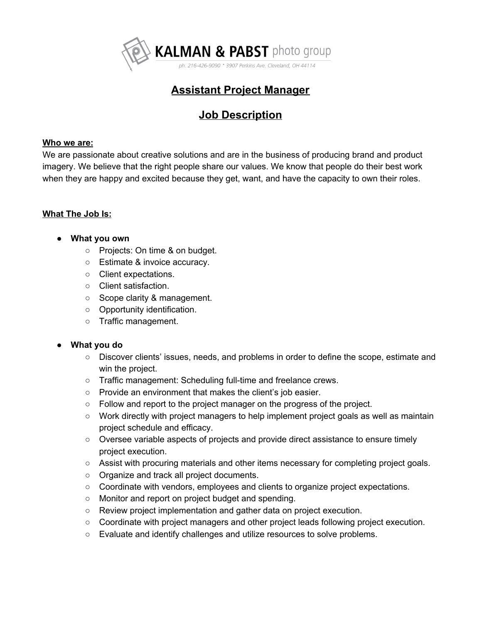

# **Assistant Project Manager**

# **Job Description**

### **Who we are:**

We are passionate about creative solutions and are in the business of producing brand and product imagery. We believe that the right people share our values. We know that people do their best work when they are happy and excited because they get, want, and have the capacity to own their roles.

### **What The Job Is:**

## **● What you own**

- Projects: On time & on budget.
- Estimate & invoice accuracy.
- Client expectations.
- Client satisfaction.
- Scope clarity & management.
- Opportunity identification.
- Traffic management.

### **● What you do**

- Discover clients' issues, needs, and problems in order to define the scope, estimate and win the project.
- Traffic management: Scheduling full-time and freelance crews.
- Provide an environment that makes the client's job easier.
- Follow and report to the project manager on the progress of the project.
- Work directly with project managers to help implement project goals as well as maintain project schedule and efficacy.
- Oversee variable aspects of projects and provide direct assistance to ensure timely project execution.
- Assist with procuring materials and other items necessary for completing project goals.
- Organize and track all project documents.
- Coordinate with vendors, employees and clients to organize project expectations.
- Monitor and report on project budget and spending.
- Review project implementation and gather data on project execution.
- Coordinate with project managers and other project leads following project execution.
- Evaluate and identify challenges and utilize resources to solve problems.